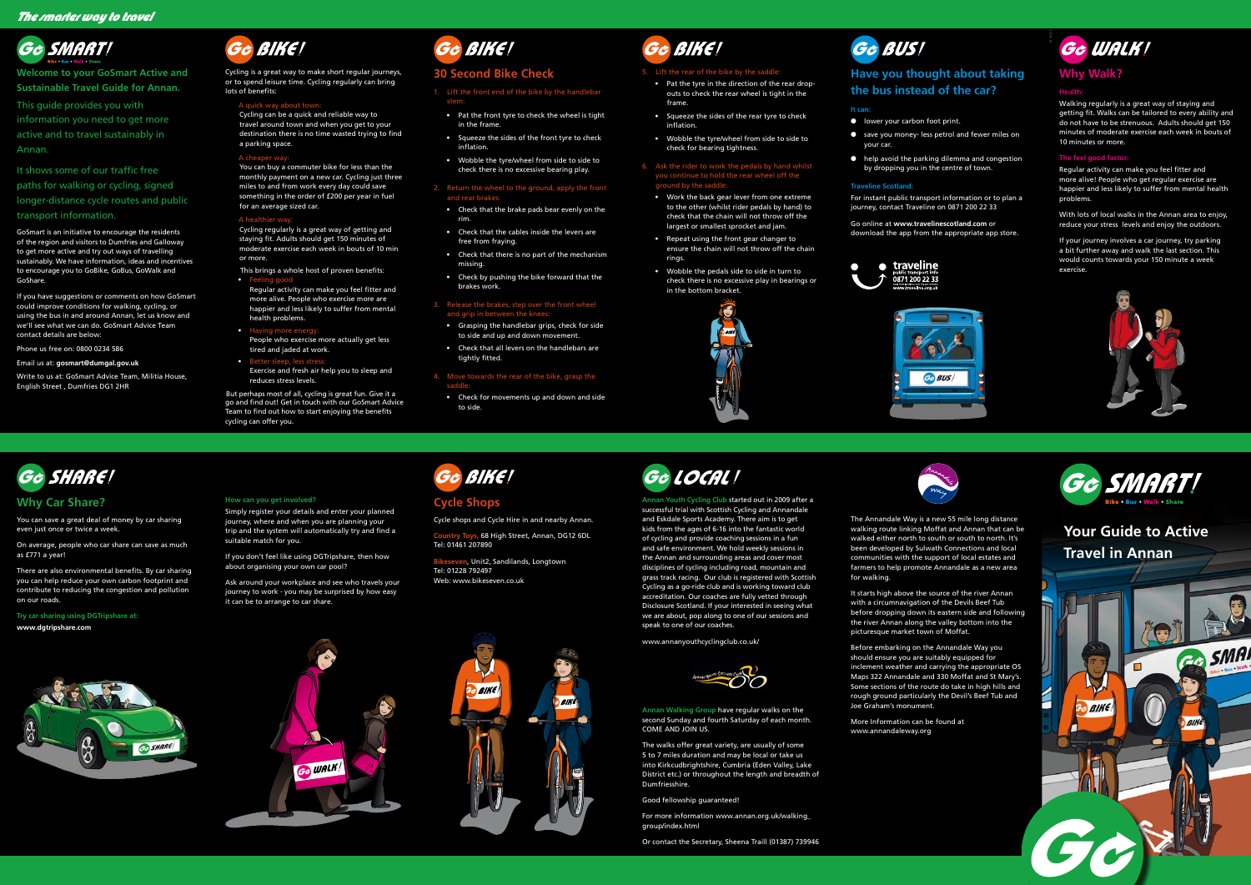## **Your Guide to Active Travel in Annan**



## **Why Car Share?**

You can save a great deal of money by car sharing even just once or twice a week.

On average, people who car share can save as much as £771 a year!

There are also environmental benefits. By car sharing you can help reduce your own carbon footprint and contribute to reducing the congestion and pollution on our roads.

**Try car sharing using DGTripshare at: www.dgtripshare.com**



## **Cycle Shops**

Cycle shops and Cycle Hire in and nearby Annan.

**Country Toys,** 68 High Street, Annan, DG12 6DL

Tel: 01461 207890

**Bikeseven**, Unit2, Sandilands, Longtown Tel: 01228 792497 Web: www.bikeseven.co.uk







### **How can you get involved?**

Simply register your details and enter your planned journey, where and when you are planning your trip and the system will automatically try and find a suitable match for you.

If you don't feel like using DGTripshare, then how about organising your own car pool?

Ask around your workplace and see who travels your journey to work - you may be surprised by how easy it can be to arrange to car share.

# Gc BIKE!

The Annandale Way is a new 55 mile long distance walking route linking Moffat and Annan that can be walked either north to south or south to north. It's been developed by Sulwath Connections and local communities with the support of local estates and farmers to help promote Annandale as a new area for walking.

It starts high above the source of the river Annan with a circumnavigation of the Devils Beef Tub before dropping down its eastern side and following the river Annan along the valley bottom into the picturesque market town of Moffat.

Before embarking on the Annandale Way you should ensure you are suitably equipped for inclement weather and carrying the appropriate OS Maps 322 Annandale and 330 Moffat and St Mary's. Some sections of the route do take in high hills and rough ground particularly the Devil's Beef Tub and Joe Graham's monument.

More Information can be found at www.annandaleway.org



**Annan Youth Cycling Club** started out in 2009 after a successful trial with Scottish Cycling and Annandale and Eskdale Sports Academy. There aim is to get kids from the ages of 6-16 into the fantastic world of cycling and provide coaching sessions in a fun and safe environment. We hold weekly sessions in the Annan and surrounding areas and cover most disciplines of cycling including road, mountain and grass track racing. Our club is registered with Scottish Cycling as a go-ride club and is working toward club accreditation. Our coaches are fully vetted through Disclosure Scotland. If your interested in seeing what we are about, pop along to one of our sessions and speak to one of our coaches.

### $\bullet$  F Regular activity can make you feel fitter and more alive. People who exercise more are happier and less likely to suffer from mental

health problems. • Having more ene

People who exercise more actually get less tired and jaded at work.

• Better sleep, less stress Exercise and fresh air help you to sleep and reduces stress levels.

www.annanyouthcyclingclub.co.uk/



**Annan Walking Group** have regular walks on the second Sunday and fourth Saturday of each month. COME AND JOIN US.

The walks offer great variety, are usually of some 5 to 7 miles duration and may be local or take us into Kirkcudbrightshire, Cumbria (Eden Valley, Lake District etc.) or throughout the length and breadth of Dumfriesshire.

Good fellowship guaranteed!

For more information www.annan.org.uk/walking\_ group/index.html



Or contact the Secretary, Sheena Traill (01387) 739946







**Welcome to your GoSmart Active and Sustainable Travel Guide for Annan.**

### 6. Ask the rider to work the pedals by hand whilst you continue to hold the rear wheel off the ground by the saddle

This guide provides you with information you need to get more active and to travel sustainably in Annan.

It shows some of our traffic free paths for walking or cycling, signed longer-distance cycle routes and public transport information.

GoSmart is an initiative to encourage the residents of the region and visitors to Dumfries and Galloway to get more active and try out ways of travelling sustainably. We have information, ideas and incentives to encourage you to GoBike, GoBus, GoWalk and GoShare.

- lower your carbon foot print.
- save you money- less petrol and fewer miles on your car.
- help avoid the parking dilemma and congestion by dropping you in the centre of town.

If you have suggestions or comments on how GoSmart could improve conditions for walking, cycling, or using the bus in and around Annan, let us know and we'll see what we can do. GoSmart Advice Team contact details are below:

Phone us free on: 0800 0234 586

Email us at: **gosmart@dumgal.gov.uk**

Write to us at: GoSmart Advice Team, Militia House, English Street , Dumfries DG1 2HR

### BIKE! Gc

Cycling is a great way to make short regular journeys, or to spend leisure time. Cycling regularly can bring lots of benefits:

### A quick way about town:

Cycling can be a quick and reliable way to travel around town and when you get to your destination there is no time wasted trying to find a parking space.

### A cheaper wa

You can buy a commuter bike for less than the monthly payment on a new car. Cycling just three miles to and from work every day could save something in the order of £200 per year in fuel for an average sized car.

### A healthier way:

Cycling regularly is a great way of getting and staying fit. Adults should get 150 minutes of moderate exercise each week in bouts of 10 min or more.

This brings a whole host of proven benefits:

But perhaps most of all, cycling is great fun. Give it a go and find out! Get in touch with our GoSmart Advice Team to find out how to start enjoying the benefits cycling can offer you.



## **30 Second Bike Check**

- 1. Lift the front end of the bike by the handlebar stem:
- Pat the front tyre to check the wheel is tight in the frame.
- Squeeze the sides of the front tyre to check inflation.
- Wobble the tyre/wheel from side to side to check there is no excessive bearing play.

### 2. Return the wheel to the ground, apply the front and rear brakes:

- Check that the brake pads bear evenly on the rim.
- Check that the cables inside the levers are free from fraying.
- Check that there is no part of the mechanism missing.
- Check by pushing the bike forward that the brakes work.

### 3. Release the brakes, step over the front wheel and grip in between the knees:

- Grasping the handlebar grips, check for side to side and up and down movement.
- Check that all levers on the handlebars are tightly fitted.

### 4. Move towards the rear of the bike, grasp the

saddle:

• Check for movements up and down and side to side.



### 5. Lift the rear of the bike by the saddle:

• Pat the tyre in the direction of the rear dropouts to check the rear wheel is tight in the frame.

• Squeeze the sides of the rear tyre to check inflation.

• Wobble the tyre/wheel from side to side to check for bearing tightness.

• Work the back gear lever from one extreme to the other (whilst rider pedals by hand) to check that the chain will not throw off the largest or smallest sprocket and jam.

• Repeat using the front gear changer to ensure the chain will not throw off the chain rings.

• Wobble the pedals side to side in turn to check there is no excessive play in bearings or in the bottom bracket.



# Ge BUS!

## **Have you thought about taking the bus instead of the car?**

### **It can:**

### **Traveline Scotland:**

For instant public transport information or to plan a journey, contact Traveline on 0871 200 22 33

Go online at **www.travelinescotland.com** or download the app from the appropriate app store.





## **Why Walk?**

### **Health:**

Walking regularly is a great way of staying and getting fit. Walks can be tailored to every ability and do not have to be strenuous. Adults should get 150 minutes of moderate exercise each week in bouts of 10 minutes or more.

### **The feel good factor:**

Regular activity can make you feel fitter and more alive! People who get regular exercise are happier and less likely to suffer from mental health problems.

With lots of local walks in the Annan area to enjoy, reduce your stress levels and enjoy the outdoors.

If your journey involves a car journey, try parking a bit further away and walk the last section. This would counts towards your 150 minute a week exercise.



# Ge LOCAL!